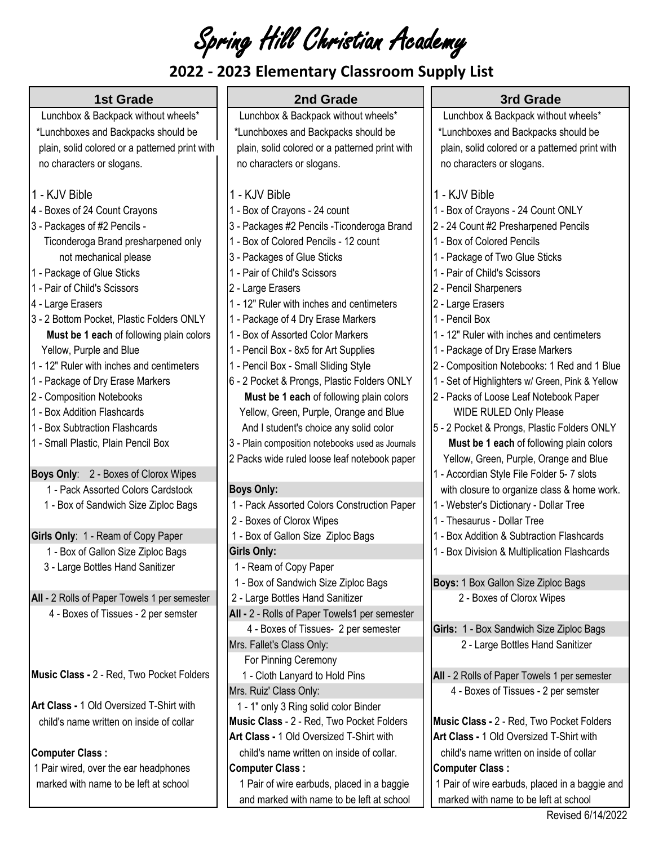Spring Hill Christian Academy

## **2022 - 2023 Elementary Classroom Supply List**

| <b>1st Grade</b><br>2nd Grade<br>3rd Grade<br>Lunchbox & Backpack without wheels*<br>Lunchbox & Backpack without wheels*<br>Lunchbox & Backpack without wheels*<br>*Lunchboxes and Backpacks should be<br>*Lunchboxes and Backpacks should be<br>*Lunchboxes and Backpacks should be<br>plain, solid colored or a patterned print with<br>plain, solid colored or a patterned print with<br>plain, solid colored or a patterned print with<br>no characters or slogans.<br>no characters or slogans.<br>no characters or slogans.<br>1 - KJV Bible<br>1 - KJV Bible<br>1 - KJV Bible<br>4 - Boxes of 24 Count Crayons<br>1 - Box of Crayons - 24 count<br>1 - Box of Crayons - 24 Count ONLY<br>3 - Packages of #2 Pencils -<br>3 - Packages #2 Pencils - Ticonderoga Brand<br>2 - 24 Count #2 Presharpened Pencils<br>Ticonderoga Brand presharpened only<br>1 - Box of Colored Pencils - 12 count<br>1 - Box of Colored Pencils<br>not mechanical please<br>3 - Packages of Glue Sticks<br>1 - Package of Two Glue Sticks<br>1 - Package of Glue Sticks<br>1 - Pair of Child's Scissors<br>- Pair of Child's Scissors<br>1 - Pair of Child's Scissors<br>2 - Large Erasers<br>2 - Pencil Sharpeners<br>1 - 12" Ruler with inches and centimeters<br>2 - Large Erasers<br>4 - Large Erasers<br>3 - 2 Bottom Pocket, Plastic Folders ONLY<br>1 - Package of 4 Dry Erase Markers<br>1 - Pencil Box<br>1 - Box of Assorted Color Markers<br>1 - 12" Ruler with inches and centimeters<br>Must be 1 each of following plain colors<br>Yellow, Purple and Blue<br>1 - Pencil Box - 8x5 for Art Supplies<br>1 - Package of Dry Erase Markers<br>1 - 12" Ruler with inches and centimeters<br>1 - Pencil Box - Small Sliding Style<br>2 - Composition Notebooks: 1 Red and 1 Blue<br>6 - 2 Pocket & Prongs, Plastic Folders ONLY<br>1 - Set of Highlighters w/ Green, Pink & Yellow<br>1 - Package of Dry Erase Markers<br>2 - Composition Notebooks<br>Must be 1 each of following plain colors<br>2 - Packs of Loose Leaf Notebook Paper<br>1 - Box Addition Flashcards<br>Yellow, Green, Purple, Orange and Blue<br><b>WIDE RULED Only Please</b><br>5 - 2 Pocket & Prongs, Plastic Folders ONLY<br>1 - Box Subtraction Flashcards<br>And I student's choice any solid color<br>1 - Small Plastic, Plain Pencil Box<br>3 - Plain composition notebooks used as Journals<br>Must be 1 each of following plain colors<br>2 Packs wide ruled loose leaf notebook paper<br>Yellow, Green, Purple, Orange and Blue<br>Boys Only: 2 - Boxes of Clorox Wipes<br>1 - Accordian Style File Folder 5-7 slots<br>1 - Pack Assorted Colors Cardstock<br><b>Boys Only:</b><br>with closure to organize class & home work.<br>1 - Pack Assorted Colors Construction Paper<br>1 - Webster's Dictionary - Dollar Tree<br>1 - Box of Sandwich Size Ziploc Bags<br>2 - Boxes of Clorox Wipes<br>1 - Thesaurus - Dollar Tree<br>Girls Only: 1 - Ream of Copy Paper<br>- Box Addition & Subtraction Flashcards<br>1 - Box of Gallon Size Ziploc Bags<br><b>Girls Only:</b><br>1 - Box of Gallon Size Ziploc Bags<br>1 - Box Division & Multiplication Flashcards<br>3 - Large Bottles Hand Sanitizer<br>1 - Ream of Copy Paper<br>Boys: 1 Box Gallon Size Ziploc Bags<br>1 - Box of Sandwich Size Ziploc Bags<br>All - 2 Rolls of Paper Towels 1 per semester<br>2 - Large Bottles Hand Sanitizer<br>2 - Boxes of Clorox Wipes<br>4 - Boxes of Tissues - 2 per semster<br>All - 2 - Rolls of Paper Towels1 per semester<br>4 - Boxes of Tissues- 2 per semester<br>Girls: 1 - Box Sandwich Size Ziploc Bags<br>Mrs. Fallet's Class Only:<br>2 - Large Bottles Hand Sanitizer<br>For Pinning Ceremony<br>Music Class - 2 - Red, Two Pocket Folders<br>1 - Cloth Lanyard to Hold Pins<br>All - 2 Rolls of Paper Towels 1 per semester<br>Mrs. Ruiz' Class Only:<br>4 - Boxes of Tissues - 2 per semster<br>Art Class - 1 Old Oversized T-Shirt with<br>1 - 1" only 3 Ring solid color Binder<br>Music Class - 2 - Red, Two Pocket Folders<br>Music Class - 2 - Red, Two Pocket Folders<br>child's name written on inside of collar<br>Art Class - 1 Old Oversized T-Shirt with<br>Art Class - 1 Old Oversized T-Shirt with<br><b>Computer Class:</b><br>child's name written on inside of collar.<br>child's name written on inside of collar<br>1 Pair wired, over the ear headphones<br><b>Computer Class:</b><br><b>Computer Class:</b> | <b>EDED EIGHTCHTGHY CROSSFOOTH SUPPLY EIST</b> |  |  |
|-------------------------------------------------------------------------------------------------------------------------------------------------------------------------------------------------------------------------------------------------------------------------------------------------------------------------------------------------------------------------------------------------------------------------------------------------------------------------------------------------------------------------------------------------------------------------------------------------------------------------------------------------------------------------------------------------------------------------------------------------------------------------------------------------------------------------------------------------------------------------------------------------------------------------------------------------------------------------------------------------------------------------------------------------------------------------------------------------------------------------------------------------------------------------------------------------------------------------------------------------------------------------------------------------------------------------------------------------------------------------------------------------------------------------------------------------------------------------------------------------------------------------------------------------------------------------------------------------------------------------------------------------------------------------------------------------------------------------------------------------------------------------------------------------------------------------------------------------------------------------------------------------------------------------------------------------------------------------------------------------------------------------------------------------------------------------------------------------------------------------------------------------------------------------------------------------------------------------------------------------------------------------------------------------------------------------------------------------------------------------------------------------------------------------------------------------------------------------------------------------------------------------------------------------------------------------------------------------------------------------------------------------------------------------------------------------------------------------------------------------------------------------------------------------------------------------------------------------------------------------------------------------------------------------------------------------------------------------------------------------------------------------------------------------------------------------------------------------------------------------------------------------------------------------------------------------------------------------------------------------------------------------------------------------------------------------------------------------------------------------------------------------------------------------------------------------------------------------------------------------------------------------------------------------------------------------------------------------------------------------------------------------------------------------------------------------------------------------------------------------------------------------------------------------------------------------------------------------------------------------------------------------------------------------------------------------------------------------------------------------------------------------------------------------------------------------------------------------------------------------------------------------------------------------------------------------------------------------------------------------------------------------------------------------------------------------------------------------------------------------------------------------------------------|------------------------------------------------|--|--|
|                                                                                                                                                                                                                                                                                                                                                                                                                                                                                                                                                                                                                                                                                                                                                                                                                                                                                                                                                                                                                                                                                                                                                                                                                                                                                                                                                                                                                                                                                                                                                                                                                                                                                                                                                                                                                                                                                                                                                                                                                                                                                                                                                                                                                                                                                                                                                                                                                                                                                                                                                                                                                                                                                                                                                                                                                                                                                                                                                                                                                                                                                                                                                                                                                                                                                                                                                                                                                                                                                                                                                                                                                                                                                                                                                                                                                                                                                                                                                                                                                                                                                                                                                                                                                                                                                                                                                                                                                   |                                                |  |  |
|                                                                                                                                                                                                                                                                                                                                                                                                                                                                                                                                                                                                                                                                                                                                                                                                                                                                                                                                                                                                                                                                                                                                                                                                                                                                                                                                                                                                                                                                                                                                                                                                                                                                                                                                                                                                                                                                                                                                                                                                                                                                                                                                                                                                                                                                                                                                                                                                                                                                                                                                                                                                                                                                                                                                                                                                                                                                                                                                                                                                                                                                                                                                                                                                                                                                                                                                                                                                                                                                                                                                                                                                                                                                                                                                                                                                                                                                                                                                                                                                                                                                                                                                                                                                                                                                                                                                                                                                                   |                                                |  |  |
|                                                                                                                                                                                                                                                                                                                                                                                                                                                                                                                                                                                                                                                                                                                                                                                                                                                                                                                                                                                                                                                                                                                                                                                                                                                                                                                                                                                                                                                                                                                                                                                                                                                                                                                                                                                                                                                                                                                                                                                                                                                                                                                                                                                                                                                                                                                                                                                                                                                                                                                                                                                                                                                                                                                                                                                                                                                                                                                                                                                                                                                                                                                                                                                                                                                                                                                                                                                                                                                                                                                                                                                                                                                                                                                                                                                                                                                                                                                                                                                                                                                                                                                                                                                                                                                                                                                                                                                                                   |                                                |  |  |
|                                                                                                                                                                                                                                                                                                                                                                                                                                                                                                                                                                                                                                                                                                                                                                                                                                                                                                                                                                                                                                                                                                                                                                                                                                                                                                                                                                                                                                                                                                                                                                                                                                                                                                                                                                                                                                                                                                                                                                                                                                                                                                                                                                                                                                                                                                                                                                                                                                                                                                                                                                                                                                                                                                                                                                                                                                                                                                                                                                                                                                                                                                                                                                                                                                                                                                                                                                                                                                                                                                                                                                                                                                                                                                                                                                                                                                                                                                                                                                                                                                                                                                                                                                                                                                                                                                                                                                                                                   |                                                |  |  |
|                                                                                                                                                                                                                                                                                                                                                                                                                                                                                                                                                                                                                                                                                                                                                                                                                                                                                                                                                                                                                                                                                                                                                                                                                                                                                                                                                                                                                                                                                                                                                                                                                                                                                                                                                                                                                                                                                                                                                                                                                                                                                                                                                                                                                                                                                                                                                                                                                                                                                                                                                                                                                                                                                                                                                                                                                                                                                                                                                                                                                                                                                                                                                                                                                                                                                                                                                                                                                                                                                                                                                                                                                                                                                                                                                                                                                                                                                                                                                                                                                                                                                                                                                                                                                                                                                                                                                                                                                   |                                                |  |  |
|                                                                                                                                                                                                                                                                                                                                                                                                                                                                                                                                                                                                                                                                                                                                                                                                                                                                                                                                                                                                                                                                                                                                                                                                                                                                                                                                                                                                                                                                                                                                                                                                                                                                                                                                                                                                                                                                                                                                                                                                                                                                                                                                                                                                                                                                                                                                                                                                                                                                                                                                                                                                                                                                                                                                                                                                                                                                                                                                                                                                                                                                                                                                                                                                                                                                                                                                                                                                                                                                                                                                                                                                                                                                                                                                                                                                                                                                                                                                                                                                                                                                                                                                                                                                                                                                                                                                                                                                                   |                                                |  |  |
|                                                                                                                                                                                                                                                                                                                                                                                                                                                                                                                                                                                                                                                                                                                                                                                                                                                                                                                                                                                                                                                                                                                                                                                                                                                                                                                                                                                                                                                                                                                                                                                                                                                                                                                                                                                                                                                                                                                                                                                                                                                                                                                                                                                                                                                                                                                                                                                                                                                                                                                                                                                                                                                                                                                                                                                                                                                                                                                                                                                                                                                                                                                                                                                                                                                                                                                                                                                                                                                                                                                                                                                                                                                                                                                                                                                                                                                                                                                                                                                                                                                                                                                                                                                                                                                                                                                                                                                                                   |                                                |  |  |
|                                                                                                                                                                                                                                                                                                                                                                                                                                                                                                                                                                                                                                                                                                                                                                                                                                                                                                                                                                                                                                                                                                                                                                                                                                                                                                                                                                                                                                                                                                                                                                                                                                                                                                                                                                                                                                                                                                                                                                                                                                                                                                                                                                                                                                                                                                                                                                                                                                                                                                                                                                                                                                                                                                                                                                                                                                                                                                                                                                                                                                                                                                                                                                                                                                                                                                                                                                                                                                                                                                                                                                                                                                                                                                                                                                                                                                                                                                                                                                                                                                                                                                                                                                                                                                                                                                                                                                                                                   |                                                |  |  |
|                                                                                                                                                                                                                                                                                                                                                                                                                                                                                                                                                                                                                                                                                                                                                                                                                                                                                                                                                                                                                                                                                                                                                                                                                                                                                                                                                                                                                                                                                                                                                                                                                                                                                                                                                                                                                                                                                                                                                                                                                                                                                                                                                                                                                                                                                                                                                                                                                                                                                                                                                                                                                                                                                                                                                                                                                                                                                                                                                                                                                                                                                                                                                                                                                                                                                                                                                                                                                                                                                                                                                                                                                                                                                                                                                                                                                                                                                                                                                                                                                                                                                                                                                                                                                                                                                                                                                                                                                   |                                                |  |  |
|                                                                                                                                                                                                                                                                                                                                                                                                                                                                                                                                                                                                                                                                                                                                                                                                                                                                                                                                                                                                                                                                                                                                                                                                                                                                                                                                                                                                                                                                                                                                                                                                                                                                                                                                                                                                                                                                                                                                                                                                                                                                                                                                                                                                                                                                                                                                                                                                                                                                                                                                                                                                                                                                                                                                                                                                                                                                                                                                                                                                                                                                                                                                                                                                                                                                                                                                                                                                                                                                                                                                                                                                                                                                                                                                                                                                                                                                                                                                                                                                                                                                                                                                                                                                                                                                                                                                                                                                                   |                                                |  |  |
|                                                                                                                                                                                                                                                                                                                                                                                                                                                                                                                                                                                                                                                                                                                                                                                                                                                                                                                                                                                                                                                                                                                                                                                                                                                                                                                                                                                                                                                                                                                                                                                                                                                                                                                                                                                                                                                                                                                                                                                                                                                                                                                                                                                                                                                                                                                                                                                                                                                                                                                                                                                                                                                                                                                                                                                                                                                                                                                                                                                                                                                                                                                                                                                                                                                                                                                                                                                                                                                                                                                                                                                                                                                                                                                                                                                                                                                                                                                                                                                                                                                                                                                                                                                                                                                                                                                                                                                                                   |                                                |  |  |
|                                                                                                                                                                                                                                                                                                                                                                                                                                                                                                                                                                                                                                                                                                                                                                                                                                                                                                                                                                                                                                                                                                                                                                                                                                                                                                                                                                                                                                                                                                                                                                                                                                                                                                                                                                                                                                                                                                                                                                                                                                                                                                                                                                                                                                                                                                                                                                                                                                                                                                                                                                                                                                                                                                                                                                                                                                                                                                                                                                                                                                                                                                                                                                                                                                                                                                                                                                                                                                                                                                                                                                                                                                                                                                                                                                                                                                                                                                                                                                                                                                                                                                                                                                                                                                                                                                                                                                                                                   |                                                |  |  |
|                                                                                                                                                                                                                                                                                                                                                                                                                                                                                                                                                                                                                                                                                                                                                                                                                                                                                                                                                                                                                                                                                                                                                                                                                                                                                                                                                                                                                                                                                                                                                                                                                                                                                                                                                                                                                                                                                                                                                                                                                                                                                                                                                                                                                                                                                                                                                                                                                                                                                                                                                                                                                                                                                                                                                                                                                                                                                                                                                                                                                                                                                                                                                                                                                                                                                                                                                                                                                                                                                                                                                                                                                                                                                                                                                                                                                                                                                                                                                                                                                                                                                                                                                                                                                                                                                                                                                                                                                   |                                                |  |  |
|                                                                                                                                                                                                                                                                                                                                                                                                                                                                                                                                                                                                                                                                                                                                                                                                                                                                                                                                                                                                                                                                                                                                                                                                                                                                                                                                                                                                                                                                                                                                                                                                                                                                                                                                                                                                                                                                                                                                                                                                                                                                                                                                                                                                                                                                                                                                                                                                                                                                                                                                                                                                                                                                                                                                                                                                                                                                                                                                                                                                                                                                                                                                                                                                                                                                                                                                                                                                                                                                                                                                                                                                                                                                                                                                                                                                                                                                                                                                                                                                                                                                                                                                                                                                                                                                                                                                                                                                                   |                                                |  |  |
|                                                                                                                                                                                                                                                                                                                                                                                                                                                                                                                                                                                                                                                                                                                                                                                                                                                                                                                                                                                                                                                                                                                                                                                                                                                                                                                                                                                                                                                                                                                                                                                                                                                                                                                                                                                                                                                                                                                                                                                                                                                                                                                                                                                                                                                                                                                                                                                                                                                                                                                                                                                                                                                                                                                                                                                                                                                                                                                                                                                                                                                                                                                                                                                                                                                                                                                                                                                                                                                                                                                                                                                                                                                                                                                                                                                                                                                                                                                                                                                                                                                                                                                                                                                                                                                                                                                                                                                                                   |                                                |  |  |
|                                                                                                                                                                                                                                                                                                                                                                                                                                                                                                                                                                                                                                                                                                                                                                                                                                                                                                                                                                                                                                                                                                                                                                                                                                                                                                                                                                                                                                                                                                                                                                                                                                                                                                                                                                                                                                                                                                                                                                                                                                                                                                                                                                                                                                                                                                                                                                                                                                                                                                                                                                                                                                                                                                                                                                                                                                                                                                                                                                                                                                                                                                                                                                                                                                                                                                                                                                                                                                                                                                                                                                                                                                                                                                                                                                                                                                                                                                                                                                                                                                                                                                                                                                                                                                                                                                                                                                                                                   |                                                |  |  |
|                                                                                                                                                                                                                                                                                                                                                                                                                                                                                                                                                                                                                                                                                                                                                                                                                                                                                                                                                                                                                                                                                                                                                                                                                                                                                                                                                                                                                                                                                                                                                                                                                                                                                                                                                                                                                                                                                                                                                                                                                                                                                                                                                                                                                                                                                                                                                                                                                                                                                                                                                                                                                                                                                                                                                                                                                                                                                                                                                                                                                                                                                                                                                                                                                                                                                                                                                                                                                                                                                                                                                                                                                                                                                                                                                                                                                                                                                                                                                                                                                                                                                                                                                                                                                                                                                                                                                                                                                   |                                                |  |  |
|                                                                                                                                                                                                                                                                                                                                                                                                                                                                                                                                                                                                                                                                                                                                                                                                                                                                                                                                                                                                                                                                                                                                                                                                                                                                                                                                                                                                                                                                                                                                                                                                                                                                                                                                                                                                                                                                                                                                                                                                                                                                                                                                                                                                                                                                                                                                                                                                                                                                                                                                                                                                                                                                                                                                                                                                                                                                                                                                                                                                                                                                                                                                                                                                                                                                                                                                                                                                                                                                                                                                                                                                                                                                                                                                                                                                                                                                                                                                                                                                                                                                                                                                                                                                                                                                                                                                                                                                                   |                                                |  |  |
|                                                                                                                                                                                                                                                                                                                                                                                                                                                                                                                                                                                                                                                                                                                                                                                                                                                                                                                                                                                                                                                                                                                                                                                                                                                                                                                                                                                                                                                                                                                                                                                                                                                                                                                                                                                                                                                                                                                                                                                                                                                                                                                                                                                                                                                                                                                                                                                                                                                                                                                                                                                                                                                                                                                                                                                                                                                                                                                                                                                                                                                                                                                                                                                                                                                                                                                                                                                                                                                                                                                                                                                                                                                                                                                                                                                                                                                                                                                                                                                                                                                                                                                                                                                                                                                                                                                                                                                                                   |                                                |  |  |
|                                                                                                                                                                                                                                                                                                                                                                                                                                                                                                                                                                                                                                                                                                                                                                                                                                                                                                                                                                                                                                                                                                                                                                                                                                                                                                                                                                                                                                                                                                                                                                                                                                                                                                                                                                                                                                                                                                                                                                                                                                                                                                                                                                                                                                                                                                                                                                                                                                                                                                                                                                                                                                                                                                                                                                                                                                                                                                                                                                                                                                                                                                                                                                                                                                                                                                                                                                                                                                                                                                                                                                                                                                                                                                                                                                                                                                                                                                                                                                                                                                                                                                                                                                                                                                                                                                                                                                                                                   |                                                |  |  |
|                                                                                                                                                                                                                                                                                                                                                                                                                                                                                                                                                                                                                                                                                                                                                                                                                                                                                                                                                                                                                                                                                                                                                                                                                                                                                                                                                                                                                                                                                                                                                                                                                                                                                                                                                                                                                                                                                                                                                                                                                                                                                                                                                                                                                                                                                                                                                                                                                                                                                                                                                                                                                                                                                                                                                                                                                                                                                                                                                                                                                                                                                                                                                                                                                                                                                                                                                                                                                                                                                                                                                                                                                                                                                                                                                                                                                                                                                                                                                                                                                                                                                                                                                                                                                                                                                                                                                                                                                   |                                                |  |  |
|                                                                                                                                                                                                                                                                                                                                                                                                                                                                                                                                                                                                                                                                                                                                                                                                                                                                                                                                                                                                                                                                                                                                                                                                                                                                                                                                                                                                                                                                                                                                                                                                                                                                                                                                                                                                                                                                                                                                                                                                                                                                                                                                                                                                                                                                                                                                                                                                                                                                                                                                                                                                                                                                                                                                                                                                                                                                                                                                                                                                                                                                                                                                                                                                                                                                                                                                                                                                                                                                                                                                                                                                                                                                                                                                                                                                                                                                                                                                                                                                                                                                                                                                                                                                                                                                                                                                                                                                                   |                                                |  |  |
|                                                                                                                                                                                                                                                                                                                                                                                                                                                                                                                                                                                                                                                                                                                                                                                                                                                                                                                                                                                                                                                                                                                                                                                                                                                                                                                                                                                                                                                                                                                                                                                                                                                                                                                                                                                                                                                                                                                                                                                                                                                                                                                                                                                                                                                                                                                                                                                                                                                                                                                                                                                                                                                                                                                                                                                                                                                                                                                                                                                                                                                                                                                                                                                                                                                                                                                                                                                                                                                                                                                                                                                                                                                                                                                                                                                                                                                                                                                                                                                                                                                                                                                                                                                                                                                                                                                                                                                                                   |                                                |  |  |
|                                                                                                                                                                                                                                                                                                                                                                                                                                                                                                                                                                                                                                                                                                                                                                                                                                                                                                                                                                                                                                                                                                                                                                                                                                                                                                                                                                                                                                                                                                                                                                                                                                                                                                                                                                                                                                                                                                                                                                                                                                                                                                                                                                                                                                                                                                                                                                                                                                                                                                                                                                                                                                                                                                                                                                                                                                                                                                                                                                                                                                                                                                                                                                                                                                                                                                                                                                                                                                                                                                                                                                                                                                                                                                                                                                                                                                                                                                                                                                                                                                                                                                                                                                                                                                                                                                                                                                                                                   |                                                |  |  |
|                                                                                                                                                                                                                                                                                                                                                                                                                                                                                                                                                                                                                                                                                                                                                                                                                                                                                                                                                                                                                                                                                                                                                                                                                                                                                                                                                                                                                                                                                                                                                                                                                                                                                                                                                                                                                                                                                                                                                                                                                                                                                                                                                                                                                                                                                                                                                                                                                                                                                                                                                                                                                                                                                                                                                                                                                                                                                                                                                                                                                                                                                                                                                                                                                                                                                                                                                                                                                                                                                                                                                                                                                                                                                                                                                                                                                                                                                                                                                                                                                                                                                                                                                                                                                                                                                                                                                                                                                   |                                                |  |  |
|                                                                                                                                                                                                                                                                                                                                                                                                                                                                                                                                                                                                                                                                                                                                                                                                                                                                                                                                                                                                                                                                                                                                                                                                                                                                                                                                                                                                                                                                                                                                                                                                                                                                                                                                                                                                                                                                                                                                                                                                                                                                                                                                                                                                                                                                                                                                                                                                                                                                                                                                                                                                                                                                                                                                                                                                                                                                                                                                                                                                                                                                                                                                                                                                                                                                                                                                                                                                                                                                                                                                                                                                                                                                                                                                                                                                                                                                                                                                                                                                                                                                                                                                                                                                                                                                                                                                                                                                                   |                                                |  |  |
|                                                                                                                                                                                                                                                                                                                                                                                                                                                                                                                                                                                                                                                                                                                                                                                                                                                                                                                                                                                                                                                                                                                                                                                                                                                                                                                                                                                                                                                                                                                                                                                                                                                                                                                                                                                                                                                                                                                                                                                                                                                                                                                                                                                                                                                                                                                                                                                                                                                                                                                                                                                                                                                                                                                                                                                                                                                                                                                                                                                                                                                                                                                                                                                                                                                                                                                                                                                                                                                                                                                                                                                                                                                                                                                                                                                                                                                                                                                                                                                                                                                                                                                                                                                                                                                                                                                                                                                                                   |                                                |  |  |
|                                                                                                                                                                                                                                                                                                                                                                                                                                                                                                                                                                                                                                                                                                                                                                                                                                                                                                                                                                                                                                                                                                                                                                                                                                                                                                                                                                                                                                                                                                                                                                                                                                                                                                                                                                                                                                                                                                                                                                                                                                                                                                                                                                                                                                                                                                                                                                                                                                                                                                                                                                                                                                                                                                                                                                                                                                                                                                                                                                                                                                                                                                                                                                                                                                                                                                                                                                                                                                                                                                                                                                                                                                                                                                                                                                                                                                                                                                                                                                                                                                                                                                                                                                                                                                                                                                                                                                                                                   |                                                |  |  |
|                                                                                                                                                                                                                                                                                                                                                                                                                                                                                                                                                                                                                                                                                                                                                                                                                                                                                                                                                                                                                                                                                                                                                                                                                                                                                                                                                                                                                                                                                                                                                                                                                                                                                                                                                                                                                                                                                                                                                                                                                                                                                                                                                                                                                                                                                                                                                                                                                                                                                                                                                                                                                                                                                                                                                                                                                                                                                                                                                                                                                                                                                                                                                                                                                                                                                                                                                                                                                                                                                                                                                                                                                                                                                                                                                                                                                                                                                                                                                                                                                                                                                                                                                                                                                                                                                                                                                                                                                   |                                                |  |  |
|                                                                                                                                                                                                                                                                                                                                                                                                                                                                                                                                                                                                                                                                                                                                                                                                                                                                                                                                                                                                                                                                                                                                                                                                                                                                                                                                                                                                                                                                                                                                                                                                                                                                                                                                                                                                                                                                                                                                                                                                                                                                                                                                                                                                                                                                                                                                                                                                                                                                                                                                                                                                                                                                                                                                                                                                                                                                                                                                                                                                                                                                                                                                                                                                                                                                                                                                                                                                                                                                                                                                                                                                                                                                                                                                                                                                                                                                                                                                                                                                                                                                                                                                                                                                                                                                                                                                                                                                                   |                                                |  |  |
|                                                                                                                                                                                                                                                                                                                                                                                                                                                                                                                                                                                                                                                                                                                                                                                                                                                                                                                                                                                                                                                                                                                                                                                                                                                                                                                                                                                                                                                                                                                                                                                                                                                                                                                                                                                                                                                                                                                                                                                                                                                                                                                                                                                                                                                                                                                                                                                                                                                                                                                                                                                                                                                                                                                                                                                                                                                                                                                                                                                                                                                                                                                                                                                                                                                                                                                                                                                                                                                                                                                                                                                                                                                                                                                                                                                                                                                                                                                                                                                                                                                                                                                                                                                                                                                                                                                                                                                                                   |                                                |  |  |
|                                                                                                                                                                                                                                                                                                                                                                                                                                                                                                                                                                                                                                                                                                                                                                                                                                                                                                                                                                                                                                                                                                                                                                                                                                                                                                                                                                                                                                                                                                                                                                                                                                                                                                                                                                                                                                                                                                                                                                                                                                                                                                                                                                                                                                                                                                                                                                                                                                                                                                                                                                                                                                                                                                                                                                                                                                                                                                                                                                                                                                                                                                                                                                                                                                                                                                                                                                                                                                                                                                                                                                                                                                                                                                                                                                                                                                                                                                                                                                                                                                                                                                                                                                                                                                                                                                                                                                                                                   |                                                |  |  |
|                                                                                                                                                                                                                                                                                                                                                                                                                                                                                                                                                                                                                                                                                                                                                                                                                                                                                                                                                                                                                                                                                                                                                                                                                                                                                                                                                                                                                                                                                                                                                                                                                                                                                                                                                                                                                                                                                                                                                                                                                                                                                                                                                                                                                                                                                                                                                                                                                                                                                                                                                                                                                                                                                                                                                                                                                                                                                                                                                                                                                                                                                                                                                                                                                                                                                                                                                                                                                                                                                                                                                                                                                                                                                                                                                                                                                                                                                                                                                                                                                                                                                                                                                                                                                                                                                                                                                                                                                   |                                                |  |  |
|                                                                                                                                                                                                                                                                                                                                                                                                                                                                                                                                                                                                                                                                                                                                                                                                                                                                                                                                                                                                                                                                                                                                                                                                                                                                                                                                                                                                                                                                                                                                                                                                                                                                                                                                                                                                                                                                                                                                                                                                                                                                                                                                                                                                                                                                                                                                                                                                                                                                                                                                                                                                                                                                                                                                                                                                                                                                                                                                                                                                                                                                                                                                                                                                                                                                                                                                                                                                                                                                                                                                                                                                                                                                                                                                                                                                                                                                                                                                                                                                                                                                                                                                                                                                                                                                                                                                                                                                                   |                                                |  |  |
|                                                                                                                                                                                                                                                                                                                                                                                                                                                                                                                                                                                                                                                                                                                                                                                                                                                                                                                                                                                                                                                                                                                                                                                                                                                                                                                                                                                                                                                                                                                                                                                                                                                                                                                                                                                                                                                                                                                                                                                                                                                                                                                                                                                                                                                                                                                                                                                                                                                                                                                                                                                                                                                                                                                                                                                                                                                                                                                                                                                                                                                                                                                                                                                                                                                                                                                                                                                                                                                                                                                                                                                                                                                                                                                                                                                                                                                                                                                                                                                                                                                                                                                                                                                                                                                                                                                                                                                                                   |                                                |  |  |
|                                                                                                                                                                                                                                                                                                                                                                                                                                                                                                                                                                                                                                                                                                                                                                                                                                                                                                                                                                                                                                                                                                                                                                                                                                                                                                                                                                                                                                                                                                                                                                                                                                                                                                                                                                                                                                                                                                                                                                                                                                                                                                                                                                                                                                                                                                                                                                                                                                                                                                                                                                                                                                                                                                                                                                                                                                                                                                                                                                                                                                                                                                                                                                                                                                                                                                                                                                                                                                                                                                                                                                                                                                                                                                                                                                                                                                                                                                                                                                                                                                                                                                                                                                                                                                                                                                                                                                                                                   |                                                |  |  |
|                                                                                                                                                                                                                                                                                                                                                                                                                                                                                                                                                                                                                                                                                                                                                                                                                                                                                                                                                                                                                                                                                                                                                                                                                                                                                                                                                                                                                                                                                                                                                                                                                                                                                                                                                                                                                                                                                                                                                                                                                                                                                                                                                                                                                                                                                                                                                                                                                                                                                                                                                                                                                                                                                                                                                                                                                                                                                                                                                                                                                                                                                                                                                                                                                                                                                                                                                                                                                                                                                                                                                                                                                                                                                                                                                                                                                                                                                                                                                                                                                                                                                                                                                                                                                                                                                                                                                                                                                   |                                                |  |  |
|                                                                                                                                                                                                                                                                                                                                                                                                                                                                                                                                                                                                                                                                                                                                                                                                                                                                                                                                                                                                                                                                                                                                                                                                                                                                                                                                                                                                                                                                                                                                                                                                                                                                                                                                                                                                                                                                                                                                                                                                                                                                                                                                                                                                                                                                                                                                                                                                                                                                                                                                                                                                                                                                                                                                                                                                                                                                                                                                                                                                                                                                                                                                                                                                                                                                                                                                                                                                                                                                                                                                                                                                                                                                                                                                                                                                                                                                                                                                                                                                                                                                                                                                                                                                                                                                                                                                                                                                                   |                                                |  |  |
|                                                                                                                                                                                                                                                                                                                                                                                                                                                                                                                                                                                                                                                                                                                                                                                                                                                                                                                                                                                                                                                                                                                                                                                                                                                                                                                                                                                                                                                                                                                                                                                                                                                                                                                                                                                                                                                                                                                                                                                                                                                                                                                                                                                                                                                                                                                                                                                                                                                                                                                                                                                                                                                                                                                                                                                                                                                                                                                                                                                                                                                                                                                                                                                                                                                                                                                                                                                                                                                                                                                                                                                                                                                                                                                                                                                                                                                                                                                                                                                                                                                                                                                                                                                                                                                                                                                                                                                                                   |                                                |  |  |
|                                                                                                                                                                                                                                                                                                                                                                                                                                                                                                                                                                                                                                                                                                                                                                                                                                                                                                                                                                                                                                                                                                                                                                                                                                                                                                                                                                                                                                                                                                                                                                                                                                                                                                                                                                                                                                                                                                                                                                                                                                                                                                                                                                                                                                                                                                                                                                                                                                                                                                                                                                                                                                                                                                                                                                                                                                                                                                                                                                                                                                                                                                                                                                                                                                                                                                                                                                                                                                                                                                                                                                                                                                                                                                                                                                                                                                                                                                                                                                                                                                                                                                                                                                                                                                                                                                                                                                                                                   |                                                |  |  |
|                                                                                                                                                                                                                                                                                                                                                                                                                                                                                                                                                                                                                                                                                                                                                                                                                                                                                                                                                                                                                                                                                                                                                                                                                                                                                                                                                                                                                                                                                                                                                                                                                                                                                                                                                                                                                                                                                                                                                                                                                                                                                                                                                                                                                                                                                                                                                                                                                                                                                                                                                                                                                                                                                                                                                                                                                                                                                                                                                                                                                                                                                                                                                                                                                                                                                                                                                                                                                                                                                                                                                                                                                                                                                                                                                                                                                                                                                                                                                                                                                                                                                                                                                                                                                                                                                                                                                                                                                   |                                                |  |  |
| marked with name to be left at school<br>1 Pair of wire earbuds, placed in a baggie<br>1 Pair of wire earbuds, placed in a baggie and                                                                                                                                                                                                                                                                                                                                                                                                                                                                                                                                                                                                                                                                                                                                                                                                                                                                                                                                                                                                                                                                                                                                                                                                                                                                                                                                                                                                                                                                                                                                                                                                                                                                                                                                                                                                                                                                                                                                                                                                                                                                                                                                                                                                                                                                                                                                                                                                                                                                                                                                                                                                                                                                                                                                                                                                                                                                                                                                                                                                                                                                                                                                                                                                                                                                                                                                                                                                                                                                                                                                                                                                                                                                                                                                                                                                                                                                                                                                                                                                                                                                                                                                                                                                                                                                             |                                                |  |  |
| and marked with name to be left at school<br>marked with name to be left at school                                                                                                                                                                                                                                                                                                                                                                                                                                                                                                                                                                                                                                                                                                                                                                                                                                                                                                                                                                                                                                                                                                                                                                                                                                                                                                                                                                                                                                                                                                                                                                                                                                                                                                                                                                                                                                                                                                                                                                                                                                                                                                                                                                                                                                                                                                                                                                                                                                                                                                                                                                                                                                                                                                                                                                                                                                                                                                                                                                                                                                                                                                                                                                                                                                                                                                                                                                                                                                                                                                                                                                                                                                                                                                                                                                                                                                                                                                                                                                                                                                                                                                                                                                                                                                                                                                                                |                                                |  |  |